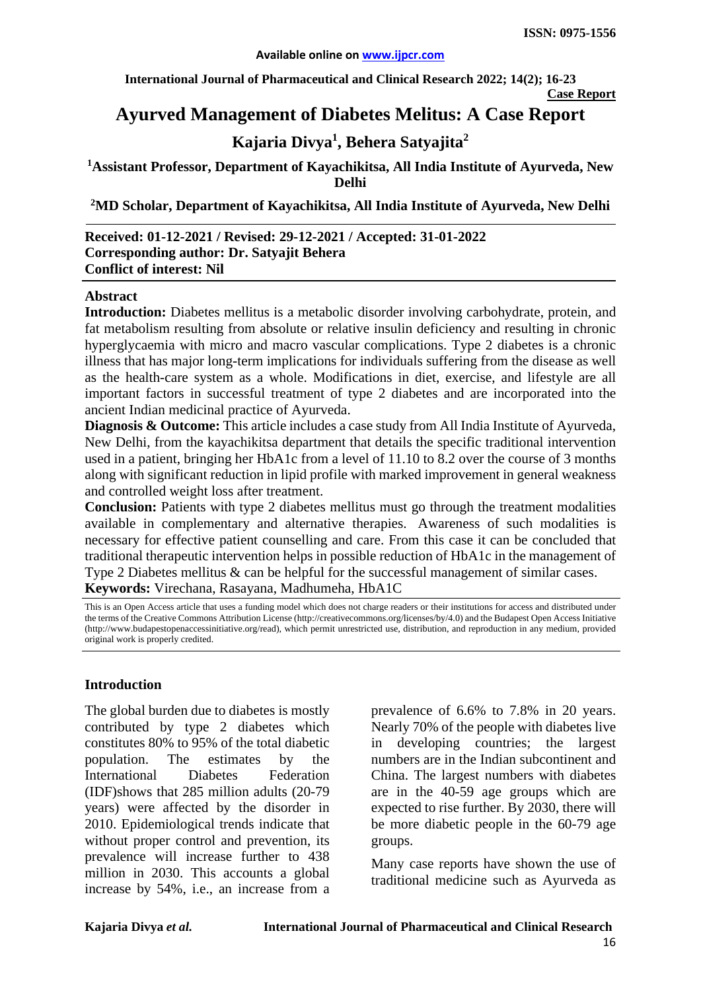**International Journal of Pharmaceutical and Clinical Research 2022; 14(2); 16-23**

**Case Report**

# **Ayurved Management of Diabetes Melitus: A Case Report**

# **Kajaria Divya1 , Behera Satyajita2**

### **1 Assistant Professor, Department of Kayachikitsa, All India Institute of Ayurveda, New Delhi**

**2 MD Scholar, Department of Kayachikitsa, All India Institute of Ayurveda, New Delhi**

#### **Received: 01-12-2021 / Revised: 29-12-2021 / Accepted: 31-01-2022 Corresponding author: Dr. Satyajit Behera Conflict of interest: Nil**

#### **Abstract**

**Introduction:** Diabetes mellitus is a metabolic disorder involving carbohydrate, protein, and fat metabolism resulting from absolute or relative insulin deficiency and resulting in chronic hyperglycaemia with micro and macro vascular complications. Type 2 diabetes is a chronic illness that has major long-term implications for individuals suffering from the disease as well as the health-care system as a whole. Modifications in diet, exercise, and lifestyle are all important factors in successful treatment of type 2 diabetes and are incorporated into the ancient Indian medicinal practice of Ayurveda.

**Diagnosis & Outcome:** This article includes a case study from All India Institute of Ayurveda, New Delhi, from the kayachikitsa department that details the specific traditional intervention used in a patient, bringing her HbA1c from a level of 11.10 to 8.2 over the course of 3 months along with significant reduction in lipid profile with marked improvement in general weakness and controlled weight loss after treatment.

**Conclusion:** Patients with type 2 diabetes mellitus must go through the treatment modalities available in complementary and alternative therapies. Awareness of such modalities is necessary for effective patient counselling and care. From this case it can be concluded that traditional therapeutic intervention helps in possible reduction of HbA1c in the management of Type 2 Diabetes mellitus & can be helpful for the successful management of similar cases. **Keywords:** Virechana, Rasayana, Madhumeha, HbA1C

This is an Open Access article that uses a funding model which does not charge readers or their institutions for access and distributed under the terms of the Creative Commons Attribution License (http://creativecommons.org/licenses/by/4.0) and the Budapest Open Access Initiative (http://www.budapestopenaccessinitiative.org/read), which permit unrestricted use, distribution, and reproduction in any medium, provided original work is properly credited.

### **Introduction**

The global burden due to diabetes is mostly contributed by type 2 diabetes which constitutes 80% to 95% of the total diabetic population. The estimates by the International Diabetes Federation (IDF)shows that 285 million adults (20-79 years) were affected by the disorder in 2010. Epidemiological trends indicate that without proper control and prevention, its prevalence will increase further to 438 million in 2030. This accounts a global increase by 54%, i.e., an increase from a prevalence of 6.6% to 7.8% in 20 years. Nearly 70% of the people with diabetes live in developing countries; the largest numbers are in the Indian subcontinent and China. The largest numbers with diabetes are in the 40-59 age groups which are expected to rise further. By 2030, there will be more diabetic people in the 60-79 age groups.

Many case reports have shown the use of traditional medicine such as Ayurveda as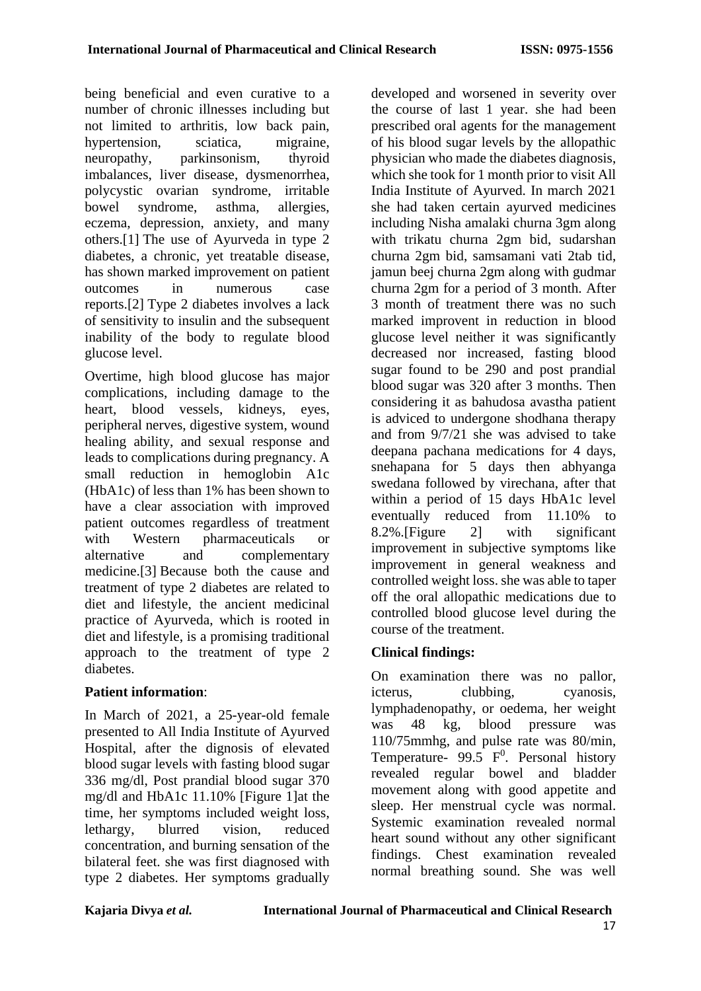being beneficial and even curative to a number of chronic illnesses including but not limited to arthritis, low back pain, hypertension, sciatica, migraine, neuropathy, parkinsonism, thyroid imbalances, liver disease, dysmenorrhea, polycystic ovarian syndrome, irritable bowel syndrome, asthma, allergies, eczema, depression, anxiety, and many others.[1] The use of Ayurveda in type 2 diabetes, a chronic, yet treatable disease, has shown marked improvement on patient outcomes in numerous case reports.[2] Type 2 diabetes involves a lack of sensitivity to insulin and the subsequent inability of the body to regulate blood glucose level.

Overtime, high blood glucose has major complications, including damage to the heart, blood vessels, kidneys, eyes, peripheral nerves, digestive system, wound healing ability, and sexual response and leads to complications during pregnancy. A small reduction in hemoglobin A1c (HbA1c) of less than 1% has been shown to have a clear association with improved patient outcomes regardless of treatment with Western pharmaceuticals or alternative and complementary medicine.[3] Because both the cause and treatment of type 2 diabetes are related to diet and lifestyle, the ancient medicinal practice of Ayurveda, which is rooted in diet and lifestyle, is a promising traditional approach to the treatment of type 2 diabetes.

## **Patient information**:

In March of 2021, a 25-year-old female presented to All India Institute of Ayurved Hospital, after the dignosis of elevated blood sugar levels with fasting blood sugar 336 mg/dl, Post prandial blood sugar 370 mg/dl and HbA1c 11.10% [Figure 1]at the time, her symptoms included weight loss, lethargy, blurred vision, reduced concentration, and burning sensation of the bilateral feet. she was first diagnosed with type 2 diabetes. Her symptoms gradually

developed and worsened in severity over the course of last 1 year. she had been prescribed oral agents for the management of his blood sugar levels by the allopathic physician who made the diabetes diagnosis, which she took for 1 month prior to visit All India Institute of Ayurved. In march 2021 she had taken certain ayurved medicines including Nisha amalaki churna 3gm along with trikatu churna 2gm bid, sudarshan churna 2gm bid, samsamani vati 2tab tid, jamun beej churna 2gm along with gudmar churna 2gm for a period of 3 month. After 3 month of treatment there was no such marked improvent in reduction in blood glucose level neither it was significantly decreased nor increased, fasting blood sugar found to be 290 and post prandial blood sugar was 320 after 3 months. Then considering it as bahudosa avastha patient is adviced to undergone shodhana therapy and from 9/7/21 she was advised to take deepana pachana medications for 4 days, snehapana for 5 days then abhyanga swedana followed by virechana, after that within a period of 15 days HbA1c level eventually reduced from 11.10% to 8.2%.[Figure 2] with significant improvement in subjective symptoms like improvement in general weakness and controlled weight loss. she was able to taper off the oral allopathic medications due to controlled blood glucose level during the course of the treatment.

# **Clinical findings:**

On examination there was no pallor, icterus, clubbing, cyanosis, lymphadenopathy, or oedema, her weight was 48 kg, blood pressure was 110/75mmhg, and pulse rate was 80/min, Temperature- 99.5  $F^0$ . Personal history revealed regular bowel and bladder movement along with good appetite and sleep. Her menstrual cycle was normal. Systemic examination revealed normal heart sound without any other significant findings. Chest examination revealed normal breathing sound. She was well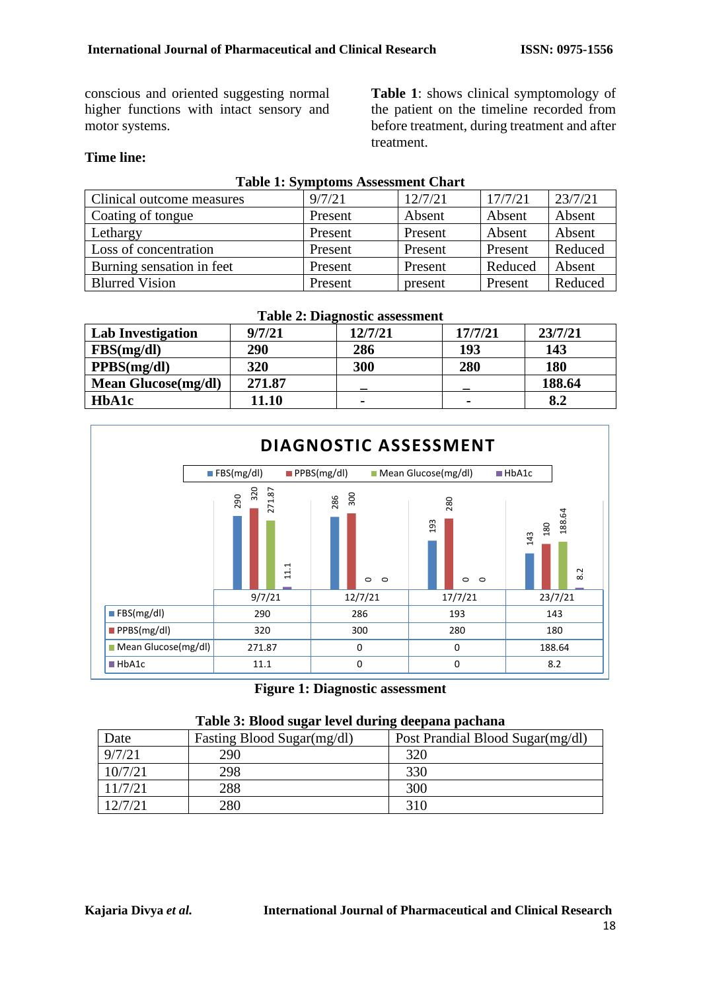conscious and oriented suggesting normal higher functions with intact sensory and motor systems.

**Table 1**: shows clinical symptomology of the patient on the timeline recorded from before treatment, during treatment and after treatment.

## **Time line:**

| <b>Table 1: Symptoms Assessment Chart</b> |         |         |         |         |  |  |
|-------------------------------------------|---------|---------|---------|---------|--|--|
| Clinical outcome measures                 | 9/7/21  | 12/7/21 | 17/7/21 | 23/7/21 |  |  |
| Coating of tongue                         | Present | Absent  | Absent  | Absent  |  |  |
| Lethargy                                  | Present | Present | Absent  | Absent  |  |  |
| Loss of concentration                     | Present | Present | Present | Reduced |  |  |
| Burning sensation in feet                 | Present | Present | Reduced | Absent  |  |  |
| <b>Blurred Vision</b>                     | Present | present | Present | Reduced |  |  |

| <b>Table 2: Diagnostic assessment</b> |        |         |         |            |  |  |  |
|---------------------------------------|--------|---------|---------|------------|--|--|--|
| <b>Lab Investigation</b>              | 9/7/21 | 12/7/21 | 17/7/21 | 23/7/21    |  |  |  |
| FBS(mg/dl)                            | 290    | 286     | 193     | 143        |  |  |  |
| PPBS(mg/dl)                           | 320    | 300     | 280     | <b>180</b> |  |  |  |
| <b>Mean Glucose</b> (mg/dl)           | 271.87 |         |         | 188.64     |  |  |  |
| HbA1c                                 | 11.10  |         | -       | 8.2        |  |  |  |



**Figure 1: Diagnostic assessment**

|  |  | Table 3: Blood sugar level during deepana pachana |  |
|--|--|---------------------------------------------------|--|
|  |  |                                                   |  |

| Date    | Fasting Blood Sugar(mg/dl) | Post Prandial Blood Sugar(mg/dl) |
|---------|----------------------------|----------------------------------|
| 9/7/21  | 290                        | 320                              |
| 10/7/21 | 298                        | 330                              |
| 11/7/21 | 288                        | 300                              |
| 12/7/21 | 280                        | 310                              |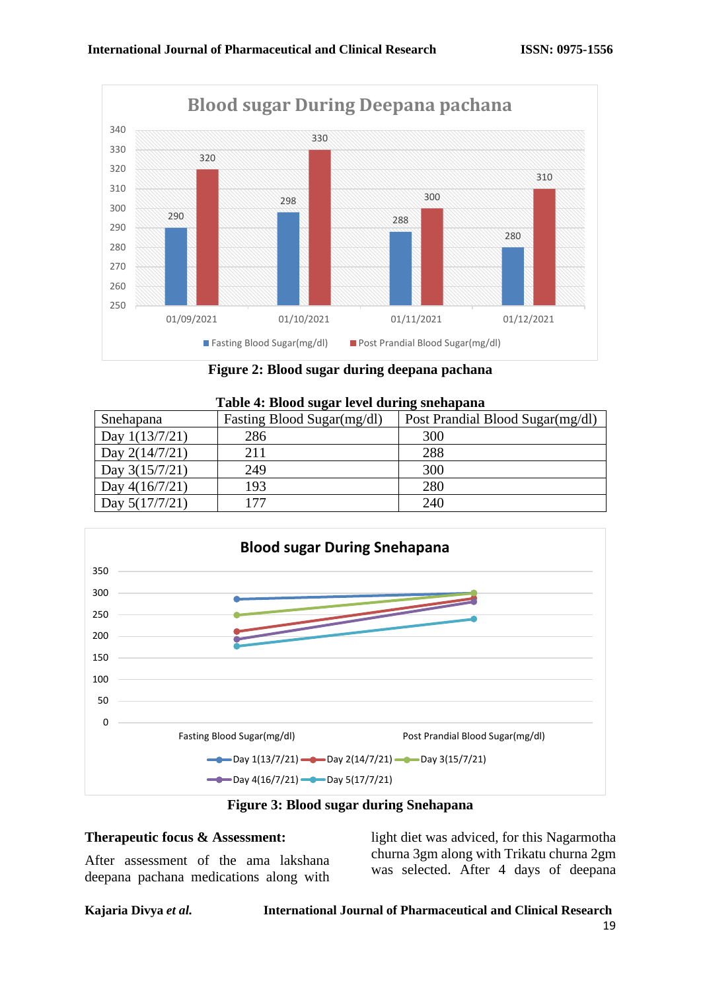

**Figure 2: Blood sugar during deepana pachana**

| Table 4: Blood sugar level during snehapana |                            |                                  |  |  |  |
|---------------------------------------------|----------------------------|----------------------------------|--|--|--|
| Snehapana                                   | Fasting Blood Sugar(mg/dl) | Post Prandial Blood Sugar(mg/dl) |  |  |  |
| Day $1(13/7/21)$                            | 286                        | 300                              |  |  |  |
| Day $2(14/7/21)$                            | 211                        | 288                              |  |  |  |
| Day $3(15/7/21)$                            | 249                        | 300                              |  |  |  |
| Day $4(16/7/21)$                            | 193                        | 280                              |  |  |  |
| Day $5(17/7/21)$                            | 177                        | 240                              |  |  |  |



**Figure 3: Blood sugar during Snehapana**

### **Therapeutic focus & Assessment:**

After assessment of the ama lakshana deepana pachana medications along with light diet was adviced, for this Nagarmotha churna 3gm along with Trikatu churna 2gm was selected. After 4 days of deepana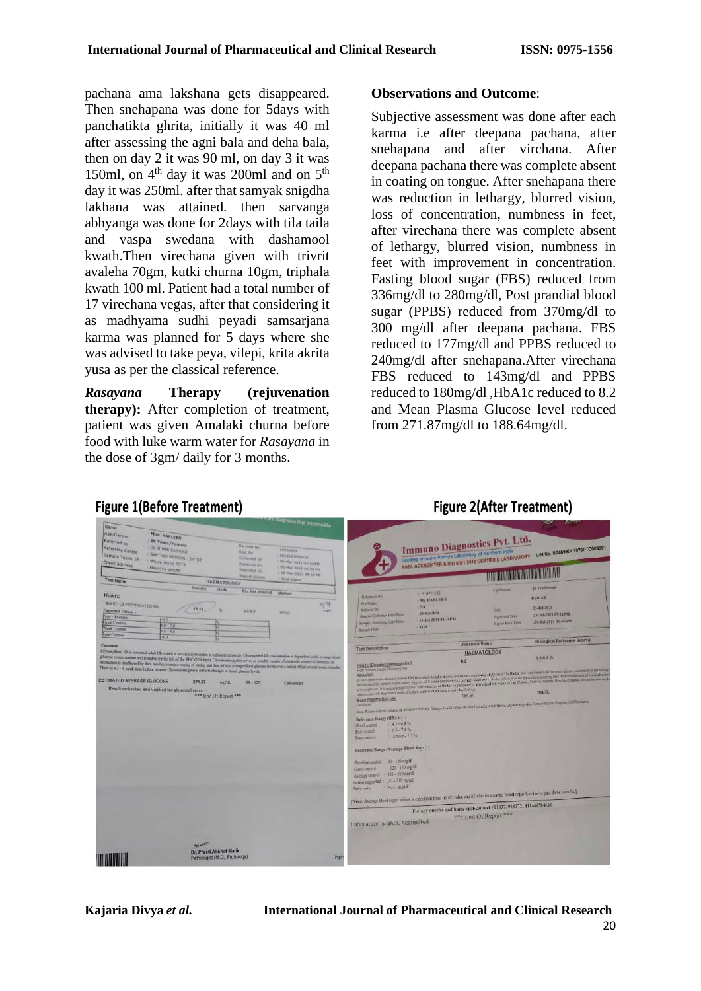pachana ama lakshana gets disappeared. Then snehapana was done for 5days with panchatikta ghrita, initially it was 40 ml after assessing the agni bala and deha bala, then on day 2 it was 90 ml, on day 3 it was 150ml, on  $4<sup>th</sup>$  day it was 200ml and on  $5<sup>th</sup>$ day it was 250ml. after that samyak snigdha lakhana was attained. then sarvanga abhyanga was done for 2days with tila taila and vaspa swedana with dashamool kwath.Then virechana given with trivrit avaleha 70gm, kutki churna 10gm, triphala kwath 100 ml. Patient had a total number of 17 virechana vegas, after that considering it as madhyama sudhi peyadi samsarjana karma was planned for 5 days where she was advised to take peya, vilepi, krita akrita yusa as per the classical reference.

*Rasayana* **Therapy (rejuvenation therapy):** After completion of treatment, patient was given Amalaki churna before food with luke warm water for *Rasayana* in the dose of 3gm/ daily for 3 months.

#### **Observations and Outcome**:

Subjective assessment was done after each karma i.e after deepana pachana, after snehapana and after virchana. After deepana pachana there was complete absent in coating on tongue. After snehapana there was reduction in lethargy, blurred vision, loss of concentration, numbness in feet. after virechana there was complete absent of lethargy, blurred vision, numbness in feet with improvement in concentration. Fasting blood sugar (FBS) reduced from 336mg/dl to 280mg/dl, Post prandial blood sugar (PPBS) reduced from 370mg/dl to 300 mg/dl after deepana pachana. FBS reduced to 177mg/dl and PPBS reduced to 240mg/dl after snehapana.After virechana FBS reduced to 143mg/dl and PPBS reduced to 180mg/dl ,HbA1c reduced to 8.2 and Mean Plasma Glucose level reduced from 271.87mg/dl to 188.64mg/dl.

**Figure 2(After Treatment)** 

| <b>Name</b>                      |                                                                                                                                                                  |                                     | vyrkvars that impacts life |                                        |                                                                                                                                       |                                                                    |                                                                                                                                                                                                                                                                                                                                                                   |
|----------------------------------|------------------------------------------------------------------------------------------------------------------------------------------------------------------|-------------------------------------|----------------------------|----------------------------------------|---------------------------------------------------------------------------------------------------------------------------------------|--------------------------------------------------------------------|-------------------------------------------------------------------------------------------------------------------------------------------------------------------------------------------------------------------------------------------------------------------------------------------------------------------------------------------------------------------|
| Age/Gender                       | <b>Miss. HARLEEN</b>                                                                                                                                             |                                     |                            |                                        |                                                                                                                                       |                                                                    |                                                                                                                                                                                                                                                                                                                                                                   |
| Referred by                      | 26 Years/Female                                                                                                                                                  |                                     |                            |                                        | Immuno Diagnostics Pvt. Ltd.                                                                                                          |                                                                    |                                                                                                                                                                                                                                                                                                                                                                   |
| Referring Centre                 | Dr. NIMHI RASTOGIL                                                                                                                                               | Barrinde No.                        | 10926645                   |                                        |                                                                                                                                       |                                                                    | CIN No. U74599DL1979PTC009991                                                                                                                                                                                                                                                                                                                                     |
| Sample Tested In                 | <b>SARTHAK MEDICAL CENTRE</b>                                                                                                                                    | Reg. No                             | 0012103050545              |                                        | Leading Immuno Assays Laboratory of Northern India                                                                                    |                                                                    |                                                                                                                                                                                                                                                                                                                                                                   |
| Client Address                   | Whole Blood EDTA                                                                                                                                                 | Callected On:<br><b>Rennised On</b> | 05-Mai: 2021-02:34 PM      |                                        | NABL ACCREDITED & ISO 9001:2015 CERTIFIED LABORATORY                                                                                  |                                                                    |                                                                                                                                                                                                                                                                                                                                                                   |
|                                  | <b>MALVIVA NACIAR</b>                                                                                                                                            | <b>Reported Div</b>                 | 05-Har-2021 02:36 PM       |                                        |                                                                                                                                       |                                                                    |                                                                                                                                                                                                                                                                                                                                                                   |
|                                  |                                                                                                                                                                  | Report Status                       | 05-Mar-2021 DK 15, PM      |                                        |                                                                                                                                       | <b>THE REAL PROPERTY AND REAL PROPERTY</b>                         |                                                                                                                                                                                                                                                                                                                                                                   |
| <b>Test Name</b>                 | <b>HAEMATOLOGY</b>                                                                                                                                               |                                     | Final Report               |                                        |                                                                                                                                       |                                                                    |                                                                                                                                                                                                                                                                                                                                                                   |
|                                  | <b>Results</b><br>Unite                                                                                                                                          | <b>Bin Ref. Interval</b>            | Mathod                     |                                        | 1.2107211321                                                                                                                          | <b>Agn/Ginate</b>                                                  | 25 Yrs/Female                                                                                                                                                                                                                                                                                                                                                     |
| <b>HbA1C</b>                     |                                                                                                                                                                  |                                     |                            | Reference No.                          | <b>ME HARLEEN</b>                                                                                                                     |                                                                    | KSD-AIL                                                                                                                                                                                                                                                                                                                                                           |
| HbA1C, GLYCOSYLATED Hb           |                                                                                                                                                                  |                                     | 999                        | Pris Name                              | NA                                                                                                                                    |                                                                    |                                                                                                                                                                                                                                                                                                                                                                   |
| Expected Values                  | 11.10                                                                                                                                                            | 3.040                               | <b>HPLC</b>                | Referred By                            | $+23$ -Jul-2021                                                                                                                       | Date                                                               | 23-Jul-2021                                                                                                                                                                                                                                                                                                                                                       |
| Non-Diabetic                     | 0.0                                                                                                                                                              |                                     |                            | Simple Collection Data/Tirty           | 123-Jul-2021 04:36PM                                                                                                                  | Approved Date                                                      | 23-Jul-2021 05:11PM                                                                                                                                                                                                                                                                                                                                               |
| <b>Good Commit</b>               | $8 - 7.0$                                                                                                                                                        |                                     |                            | Sample Robert Har Date Time            | ATTA                                                                                                                                  | <b>Report From Time</b>                                            | :24-3-01-2021 (06:40 AM)                                                                                                                                                                                                                                                                                                                                          |
| Weak Control                     | $0.8 - 0.$                                                                                                                                                       |                                     |                            | Sample From                            |                                                                                                                                       |                                                                    |                                                                                                                                                                                                                                                                                                                                                                   |
| Poor Control                     | -8.0                                                                                                                                                             |                                     |                            |                                        |                                                                                                                                       |                                                                    | <b>Biological Reference Interval</b>                                                                                                                                                                                                                                                                                                                              |
| Comment                          |                                                                                                                                                                  |                                     |                            |                                        |                                                                                                                                       | <b>Observed Value</b>                                              |                                                                                                                                                                                                                                                                                                                                                                   |
|                                  | Glycosylated Jib is a normal adult Hb which is covalently branded to a glucose molecule. Glycosylated Hb concentration is dependent on the average Stood         |                                     |                            | <b>Test Description</b>                |                                                                                                                                       | <b>HAEMATOLOGY</b>                                                 |                                                                                                                                                                                                                                                                                                                                                                   |
|                                  | glucose concentration and is stable for the life of the RBC (120 days). Olycohaemoglobin serves as nutable marker of metabolic control of datestics his.         |                                     |                            |                                        | 8.2                                                                                                                                   |                                                                    | $4.5 - 6.4%$                                                                                                                                                                                                                                                                                                                                                      |
|                                  | estimation is unaffected by diet, insulis, exercise on day of testing and thus reflects average blood glucose levels over a period of last several weeks resemb- |                                     |                            | <b>HbA1c (Glycated Haemoglobin)</b>    |                                                                                                                                       |                                                                    |                                                                                                                                                                                                                                                                                                                                                                   |
|                                  | There is a 3 - 4 week time before percent Glycohaemoglobin reflects changes in blood glucose levels.                                                             |                                     |                            | High Pressure Liquid Christmastery     |                                                                                                                                       |                                                                    |                                                                                                                                                                                                                                                                                                                                                                   |
| <b>ESTIMATED AVERAGE GLUCOSE</b> |                                                                                                                                                                  |                                     |                            |                                        |                                                                                                                                       |                                                                    | In state qualitative determination of HbAIs in whole blood is stated in long term manholog of glycomic Tar HbAIs (evil consistent with the more glucose concernation perculing a                                                                                                                                                                                  |
|                                  | 271.87<br>mald).                                                                                                                                                 | $68 - 125$                          | Calculated                 |                                        |                                                                                                                                       |                                                                    | the course of the pattern, recent knows (appear - 0.4 weeks) and therefore pursicle analyzout of the information for givenine monitoring than to determinations of blood glasses<br>sensory gluons. It is recommended that the determination of HLAAs be performed at leasersh of 4.6 works chrong Dubetes Mellins Deemyr, Results of HLAAs should be assessed to |
|                                  | Result rechecked and verified for abnormal cases                                                                                                                 |                                     |                            |                                        | commence with the putche's medical history, clarical coaminations and other findings.                                                 |                                                                    | ma/dL                                                                                                                                                                                                                                                                                                                                                             |
|                                  | *** End Of Report ***                                                                                                                                            |                                     |                            | Mean Plasma Glucose                    |                                                                                                                                       | 188.64                                                             |                                                                                                                                                                                                                                                                                                                                                                   |
|                                  |                                                                                                                                                                  |                                     |                            |                                        |                                                                                                                                       |                                                                    | Mem Plasmo Giucos: il tascal en contratol Average Claicos: (eAG) salue c, lo date) according to Matimal Glycolenneglobin Statelindication Program (NOPP) utieria                                                                                                                                                                                                  |
|                                  |                                                                                                                                                                  |                                     |                            |                                        |                                                                                                                                       |                                                                    |                                                                                                                                                                                                                                                                                                                                                                   |
|                                  |                                                                                                                                                                  |                                     |                            | Reference Range (HBA1c) :              |                                                                                                                                       |                                                                    |                                                                                                                                                                                                                                                                                                                                                                   |
|                                  |                                                                                                                                                                  |                                     |                            | $4.5 - 6.4\%$<br>Good costrol          |                                                                                                                                       |                                                                    |                                                                                                                                                                                                                                                                                                                                                                   |
|                                  |                                                                                                                                                                  |                                     |                            | $0.5 - 7.456$<br>Fair control          |                                                                                                                                       |                                                                    |                                                                                                                                                                                                                                                                                                                                                                   |
|                                  |                                                                                                                                                                  |                                     |                            | Above - 7.5%<br>Poer control           |                                                                                                                                       |                                                                    |                                                                                                                                                                                                                                                                                                                                                                   |
|                                  |                                                                                                                                                                  |                                     |                            |                                        |                                                                                                                                       |                                                                    |                                                                                                                                                                                                                                                                                                                                                                   |
|                                  |                                                                                                                                                                  |                                     |                            | Reference Range (Average Blood Sugar): |                                                                                                                                       |                                                                    |                                                                                                                                                                                                                                                                                                                                                                   |
|                                  |                                                                                                                                                                  |                                     |                            |                                        |                                                                                                                                       |                                                                    |                                                                                                                                                                                                                                                                                                                                                                   |
|                                  |                                                                                                                                                                  |                                     |                            | Excellent control : 90 - 120 mg/dl     |                                                                                                                                       |                                                                    |                                                                                                                                                                                                                                                                                                                                                                   |
|                                  |                                                                                                                                                                  |                                     |                            | 121 - 150 mg/dl<br>Good control        |                                                                                                                                       |                                                                    |                                                                                                                                                                                                                                                                                                                                                                   |
|                                  |                                                                                                                                                                  |                                     |                            | Average control : 151 - 180 mg/dl      |                                                                                                                                       |                                                                    |                                                                                                                                                                                                                                                                                                                                                                   |
|                                  |                                                                                                                                                                  |                                     |                            | Action suggested: 181-210 mg/dl        |                                                                                                                                       |                                                                    |                                                                                                                                                                                                                                                                                                                                                                   |
|                                  |                                                                                                                                                                  |                                     |                            | >211 mg/di<br>Panie value              |                                                                                                                                       |                                                                    |                                                                                                                                                                                                                                                                                                                                                                   |
|                                  |                                                                                                                                                                  |                                     |                            |                                        | [Nate: Average blood sugar values is calculated from bhal c value and it indicates average blood sugar level over past firee months.] |                                                                    |                                                                                                                                                                                                                                                                                                                                                                   |
|                                  |                                                                                                                                                                  |                                     |                            |                                        |                                                                                                                                       |                                                                    |                                                                                                                                                                                                                                                                                                                                                                   |
|                                  |                                                                                                                                                                  |                                     |                            |                                        |                                                                                                                                       | For any queries and home visit-contact +918373928272, 011-49384660 |                                                                                                                                                                                                                                                                                                                                                                   |
|                                  |                                                                                                                                                                  |                                     |                            |                                        |                                                                                                                                       | *** End Of Report ***                                              |                                                                                                                                                                                                                                                                                                                                                                   |
|                                  |                                                                                                                                                                  |                                     |                            | Laboratory is NABL Accredited          |                                                                                                                                       |                                                                    |                                                                                                                                                                                                                                                                                                                                                                   |
|                                  |                                                                                                                                                                  |                                     |                            |                                        |                                                                                                                                       |                                                                    |                                                                                                                                                                                                                                                                                                                                                                   |
|                                  |                                                                                                                                                                  |                                     |                            |                                        |                                                                                                                                       |                                                                    |                                                                                                                                                                                                                                                                                                                                                                   |
|                                  | <b>NOWANT</b>                                                                                                                                                    |                                     |                            |                                        |                                                                                                                                       |                                                                    |                                                                                                                                                                                                                                                                                                                                                                   |
|                                  | Dr. Preeti Akshat Malik                                                                                                                                          |                                     |                            |                                        |                                                                                                                                       |                                                                    |                                                                                                                                                                                                                                                                                                                                                                   |
|                                  | Pathologist (M.D., Pathology)                                                                                                                                    |                                     | Page                       |                                        |                                                                                                                                       |                                                                    |                                                                                                                                                                                                                                                                                                                                                                   |
| <b>UNITED</b>                    |                                                                                                                                                                  |                                     |                            |                                        |                                                                                                                                       |                                                                    |                                                                                                                                                                                                                                                                                                                                                                   |

## **Figure 1(Before Treatment)**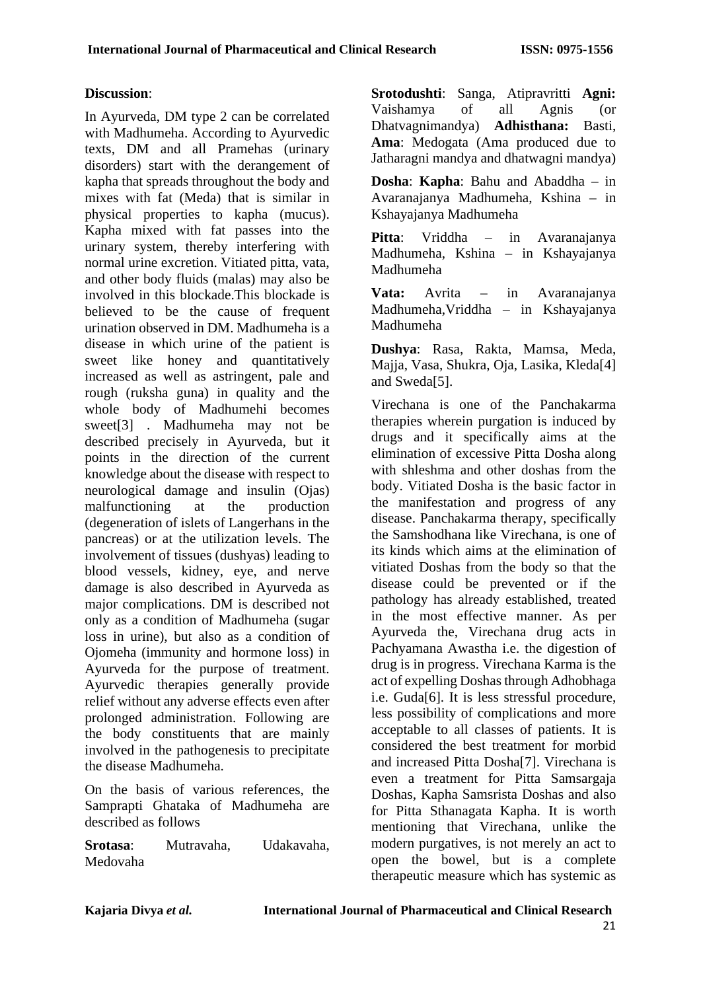#### **Discussion**:

In Ayurveda, DM type 2 can be correlated with Madhumeha. According to Ayurvedic texts, DM and all Pramehas (urinary disorders) start with the derangement of kapha that spreads throughout the body and mixes with fat (Meda) that is similar in physical properties to kapha (mucus). Kapha mixed with fat passes into the urinary system, thereby interfering with normal urine excretion. Vitiated pitta, vata, and other body fluids (malas) may also be involved in this blockade.This blockade is believed to be the cause of frequent urination observed in DM. Madhumeha is a disease in which urine of the patient is sweet like honey and quantitatively increased as well as astringent, pale and rough (ruksha guna) in quality and the whole body of Madhumehi becomes sweet[3] . Madhumeha may not be described precisely in Ayurveda, but it points in the direction of the current knowledge about the disease with respect to neurological damage and insulin (Ojas) malfunctioning at the production (degeneration of islets of Langerhans in the pancreas) or at the utilization levels. The involvement of tissues (dushyas) leading to blood vessels, kidney, eye, and nerve damage is also described in Ayurveda as major complications. DM is described not only as a condition of Madhumeha (sugar loss in urine), but also as a condition of Ojomeha (immunity and hormone loss) in Ayurveda for the purpose of treatment. Ayurvedic therapies generally provide relief without any adverse effects even after prolonged administration. Following are the body constituents that are mainly involved in the pathogenesis to precipitate the disease Madhumeha.

On the basis of various references, the Samprapti Ghataka of Madhumeha are described as follows

**Srotasa**: Mutravaha, Udakavaha, Medovaha

**Srotodushti**: Sanga, Atipravritti **Agni:** Vaishamya of all Agnis (or Dhatvagnimandya) **Adhisthana:** Basti, **Ama**: Medogata (Ama produced due to Jatharagni mandya and dhatwagni mandya)

**Dosha**: **Kapha**: Bahu and Abaddha – in Avaranajanya Madhumeha, Kshina – in Kshayajanya Madhumeha

**Pitta**: Vriddha – in Avaranajanya Madhumeha, Kshina – in Kshayajanya Madhumeha

**Vata:** Avrita – in Avaranajanya Madhumeha,Vriddha – in Kshayajanya Madhumeha

**Dushya**: Rasa, Rakta, Mamsa, Meda, Majja, Vasa, Shukra, Oja, Lasika, Kleda[4] and Sweda[5].

Virechana is one of the Panchakarma therapies wherein purgation is induced by drugs and it specifically aims at the elimination of excessive Pitta Dosha along with shleshma and other doshas from the body. Vitiated Dosha is the basic factor in the manifestation and progress of any disease. Panchakarma therapy, specifically the Samshodhana like Virechana, is one of its kinds which aims at the elimination of vitiated Doshas from the body so that the disease could be prevented or if the pathology has already established, treated in the most effective manner. As per Ayurveda the, Virechana drug acts in Pachyamana Awastha i.e. the digestion of drug is in progress. Virechana Karma is the act of expelling Doshas through Adhobhaga i.e. Guda[6]. It is less stressful procedure, less possibility of complications and more acceptable to all classes of patients. It is considered the best treatment for morbid and increased Pitta Dosha[7]. Virechana is even a treatment for Pitta Samsargaja Doshas, Kapha Samsrista Doshas and also for Pitta Sthanagata Kapha. It is worth mentioning that Virechana, unlike the modern purgatives, is not merely an act to open the bowel, but is a complete therapeutic measure which has systemic as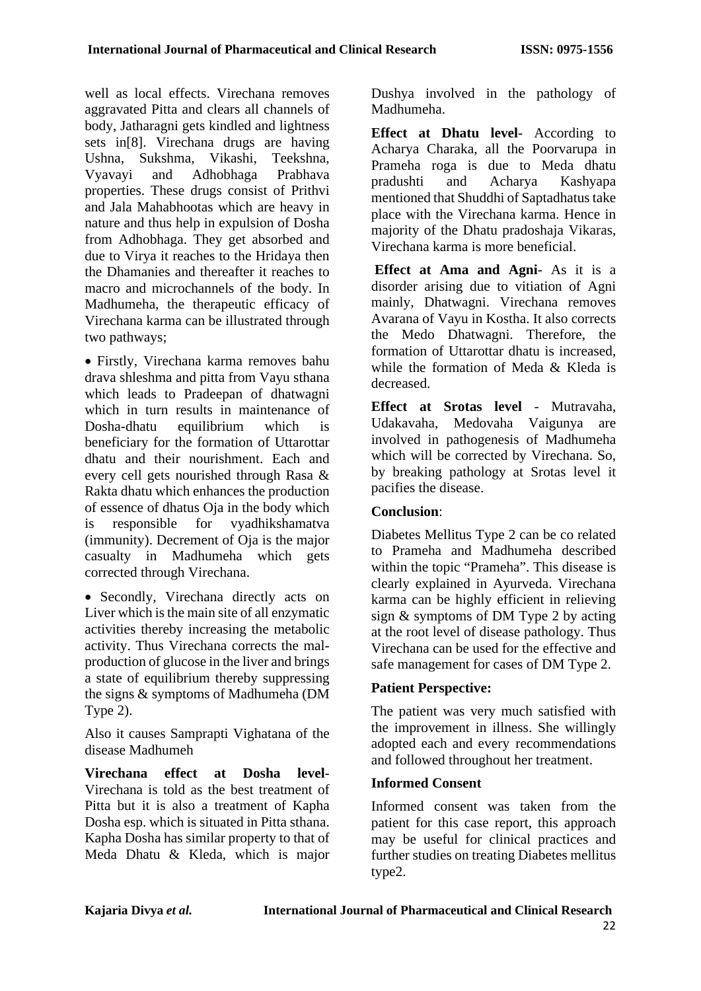well as local effects. Virechana removes aggravated Pitta and clears all channels of body, Jatharagni gets kindled and lightness sets in[8]. Virechana drugs are having Ushna, Sukshma, Vikashi, Teekshna, Vyavayi and Adhobhaga Prabhava properties. These drugs consist of Prithvi and Jala Mahabhootas which are heavy in nature and thus help in expulsion of Dosha from Adhobhaga. They get absorbed and due to Virya it reaches to the Hridaya then the Dhamanies and thereafter it reaches to macro and microchannels of the body. In Madhumeha, the therapeutic efficacy of Virechana karma can be illustrated through two pathways;

• Firstly, Virechana karma removes bahu drava shleshma and pitta from Vayu sthana which leads to Pradeepan of dhatwagni which in turn results in maintenance of Dosha-dhatu equilibrium which is beneficiary for the formation of Uttarottar dhatu and their nourishment. Each and every cell gets nourished through Rasa & Rakta dhatu which enhances the production of essence of dhatus Oja in the body which is responsible for vyadhikshamatva (immunity). Decrement of Oja is the major casualty in Madhumeha which gets corrected through Virechana.

• Secondly, Virechana directly acts on Liver which is the main site of all enzymatic activities thereby increasing the metabolic activity. Thus Virechana corrects the malproduction of glucose in the liver and brings a state of equilibrium thereby suppressing the signs & symptoms of Madhumeha (DM Type 2).

Also it causes Samprapti Vighatana of the disease Madhumeh

**Virechana effect at Dosha level**-Virechana is told as the best treatment of Pitta but it is also a treatment of Kapha Dosha esp. which is situated in Pitta sthana. Kapha Dosha has similar property to that of Meda Dhatu & Kleda, which is major Dushya involved in the pathology of Madhumeha.

**Effect at Dhatu level**- According to Acharya Charaka, all the Poorvarupa in Prameha roga is due to Meda dhatu pradushti and Acharya Kashyapa mentioned that Shuddhi of Saptadhatus take place with the Virechana karma. Hence in majority of the Dhatu pradoshaja Vikaras, Virechana karma is more beneficial.

**Effect at Ama and Agni**- As it is a disorder arising due to vitiation of Agni mainly, Dhatwagni. Virechana removes Avarana of Vayu in Kostha. It also corrects the Medo Dhatwagni. Therefore, the formation of Uttarottar dhatu is increased, while the formation of Meda & Kleda is decreased.

**Effect at Srotas level** - Mutravaha, Udakavaha, Medovaha Vaigunya are involved in pathogenesis of Madhumeha which will be corrected by Virechana. So, by breaking pathology at Srotas level it pacifies the disease.

### **Conclusion**:

Diabetes Mellitus Type 2 can be co related to Prameha and Madhumeha described within the topic "Prameha". This disease is clearly explained in Ayurveda. Virechana karma can be highly efficient in relieving sign & symptoms of DM Type 2 by acting at the root level of disease pathology. Thus Virechana can be used for the effective and safe management for cases of DM Type 2.

## **Patient Perspective:**

The patient was very much satisfied with the improvement in illness. She willingly adopted each and every recommendations and followed throughout her treatment.

### **Informed Consent**

Informed consent was taken from the patient for this case report, this approach may be useful for clinical practices and further studies on treating Diabetes mellitus type2.